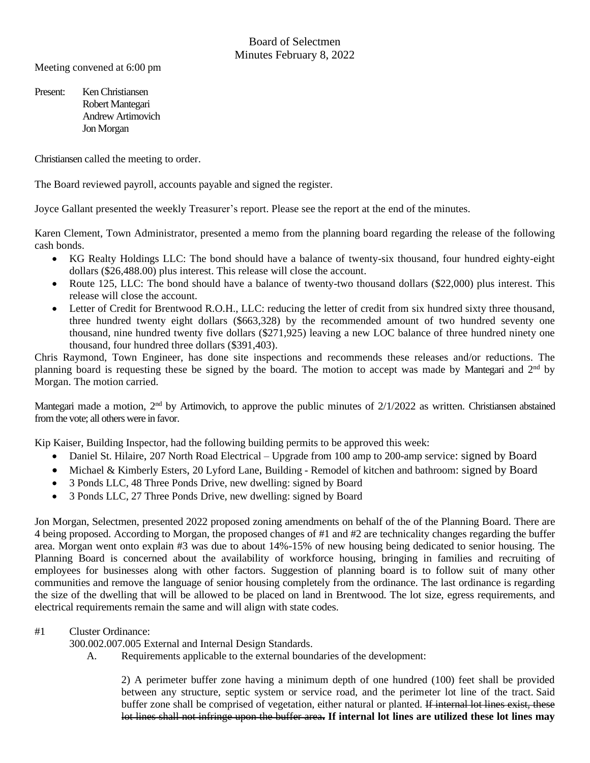Meeting convened at 6:00 pm

Present: Ken Christiansen Robert Mantegari Andrew Artimovich Jon Morgan

Christiansen called the meeting to order.

The Board reviewed payroll, accounts payable and signed the register.

Joyce Gallant presented the weekly Treasurer's report. Please see the report at the end of the minutes.

Karen Clement, Town Administrator, presented a memo from the planning board regarding the release of the following cash bonds.

- KG Realty Holdings LLC: The bond should have a balance of twenty-six thousand, four hundred eighty-eight dollars (\$26,488.00) plus interest. This release will close the account.
- Route 125, LLC: The bond should have a balance of twenty-two thousand dollars (\$22,000) plus interest. This release will close the account.
- Letter of Credit for Brentwood R.O.H., LLC: reducing the letter of credit from six hundred sixty three thousand, three hundred twenty eight dollars (\$663,328) by the recommended amount of two hundred seventy one thousand, nine hundred twenty five dollars (\$271,925) leaving a new LOC balance of three hundred ninety one thousand, four hundred three dollars (\$391,403).

Chris Raymond, Town Engineer, has done site inspections and recommends these releases and/or reductions. The planning board is requesting these be signed by the board. The motion to accept was made by Mantegari and 2<sup>nd</sup> by Morgan. The motion carried.

Mantegari made a motion, 2<sup>nd</sup> by Artimovich, to approve the public minutes of 2/1/2022 as written. Christiansen abstained from the vote; all others were in favor.

Kip Kaiser, Building Inspector, had the following building permits to be approved this week:

- Daniel St. Hilaire, 207 North Road Electrical Upgrade from 100 amp to 200-amp service: signed by Board
- Michael & Kimberly Esters, 20 Lyford Lane, Building Remodel of kitchen and bathroom: signed by Board
- 3 Ponds LLC, 48 Three Ponds Drive, new dwelling: signed by Board
- 3 Ponds LLC, 27 Three Ponds Drive, new dwelling: signed by Board

Jon Morgan, Selectmen, presented 2022 proposed zoning amendments on behalf of the of the Planning Board. There are 4 being proposed. According to Morgan, the proposed changes of #1 and #2 are technicality changes regarding the buffer area. Morgan went onto explain #3 was due to about 14%-15% of new housing being dedicated to senior housing. The Planning Board is concerned about the availability of workforce housing, bringing in families and recruiting of employees for businesses along with other factors. Suggestion of planning board is to follow suit of many other communities and remove the language of senior housing completely from the ordinance. The last ordinance is regarding the size of the dwelling that will be allowed to be placed on land in Brentwood. The lot size, egress requirements, and electrical requirements remain the same and will align with state codes.

## #1 Cluster Ordinance:

300.002.007.005 External and Internal Design Standards.

A. Requirements applicable to the external boundaries of the development:

2) A perimeter buffer zone having a minimum depth of one hundred (100) feet shall be provided between any structure, septic system or service road, and the perimeter lot line of the tract. Said buffer zone shall be comprised of vegetation, either natural or planted. If internal lot lines exist, these lot lines shall not infringe upon the buffer area**. If internal lot lines are utilized these lot lines may**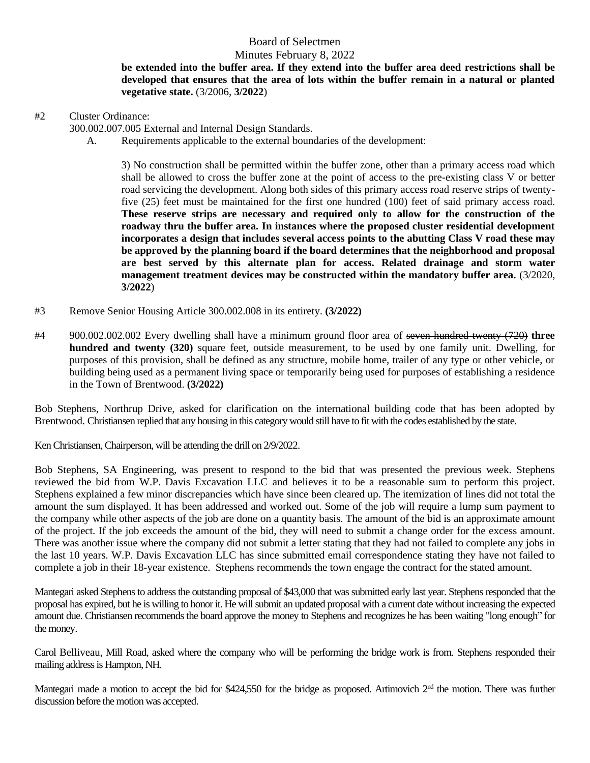## Board of Selectmen

### Minutes February 8, 2022

**be extended into the buffer area. If they extend into the buffer area deed restrictions shall be developed that ensures that the area of lots within the buffer remain in a natural or planted vegetative state.** (3/2006, **3/2022**)

#2 Cluster Ordinance:

300.002.007.005 External and Internal Design Standards.

A. Requirements applicable to the external boundaries of the development:

3) No construction shall be permitted within the buffer zone, other than a primary access road which shall be allowed to cross the buffer zone at the point of access to the pre-existing class V or better road servicing the development. Along both sides of this primary access road reserve strips of twentyfive (25) feet must be maintained for the first one hundred (100) feet of said primary access road. **These reserve strips are necessary and required only to allow for the construction of the roadway thru the buffer area. In instances where the proposed cluster residential development incorporates a design that includes several access points to the abutting Class V road these may be approved by the planning board if the board determines that the neighborhood and proposal are best served by this alternate plan for access. Related drainage and storm water management treatment devices may be constructed within the mandatory buffer area.** (3/2020, **3/2022**)

- #3 Remove Senior Housing Article 300.002.008 in its entirety. **(3/2022)**
- #4 900.002.002.002 Every dwelling shall have a minimum ground floor area of seven hundred twenty (720) **three hundred and twenty (320)** square feet, outside measurement, to be used by one family unit. Dwelling, for purposes of this provision, shall be defined as any structure, mobile home, trailer of any type or other vehicle, or building being used as a permanent living space or temporarily being used for purposes of establishing a residence in the Town of Brentwood. **(3/2022)**

Bob Stephens, Northrup Drive, asked for clarification on the international building code that has been adopted by Brentwood. Christiansen replied that any housing in this category would still have to fit with the codes established by the state.

Ken Christiansen, Chairperson, will be attending the drill on 2/9/2022.

Bob Stephens, SA Engineering, was present to respond to the bid that was presented the previous week. Stephens reviewed the bid from W.P. Davis Excavation LLC and believes it to be a reasonable sum to perform this project. Stephens explained a few minor discrepancies which have since been cleared up. The itemization of lines did not total the amount the sum displayed. It has been addressed and worked out. Some of the job will require a lump sum payment to the company while other aspects of the job are done on a quantity basis. The amount of the bid is an approximate amount of the project. If the job exceeds the amount of the bid, they will need to submit a change order for the excess amount. There was another issue where the company did not submit a letter stating that they had not failed to complete any jobs in the last 10 years. W.P. Davis Excavation LLC has since submitted email correspondence stating they have not failed to complete a job in their 18-year existence. Stephens recommends the town engage the contract for the stated amount.

Mantegari asked Stephens to address the outstanding proposal of \$43,000 that was submitted early last year. Stephens responded that the proposal has expired, but he is willing to honor it. He will submit an updated proposal with a current date without increasing the expected amount due. Christiansen recommends the board approve the money to Stephens and recognizes he has been waiting "long enough" for the money.

Carol Belliveau, Mill Road, asked where the company who will be performing the bridge work is from. Stephens responded their mailing address is Hampton, NH.

Mantegari made a motion to accept the bid for \$424,550 for the bridge as proposed. Artimovich 2<sup>nd</sup> the motion. There was further discussion before the motion was accepted.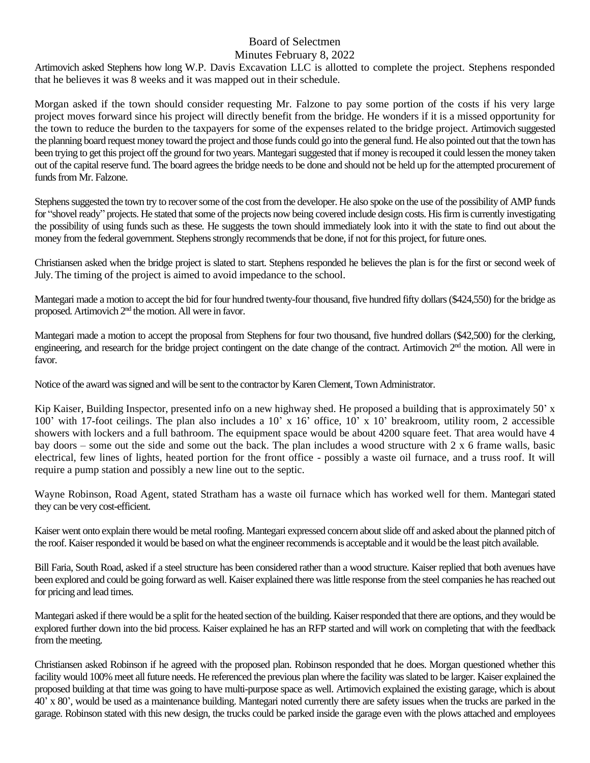#### Board of Selectmen Minutes February 8, 2022

Artimovich asked Stephens how long W.P. Davis Excavation LLC is allotted to complete the project. Stephens responded that he believes it was 8 weeks and it was mapped out in their schedule.

Morgan asked if the town should consider requesting Mr. Falzone to pay some portion of the costs if his very large project moves forward since his project will directly benefit from the bridge. He wonders if it is a missed opportunity for the town to reduce the burden to the taxpayers for some of the expenses related to the bridge project. Artimovich suggested the planning board request money toward the project and those funds could go into the generalfund. He also pointed out that the town has been trying to get this project off the ground for two years. Mantegari suggested that if money is recouped it could lessen the money taken out of the capital reserve fund. The board agrees the bridge needs to be done and should not be held up for the attempted procurement of funds from Mr. Falzone.

Stephens suggested the town try to recover some of the cost from the developer. He also spoke on the use of the possibility of AMP funds for "shovel ready" projects. He stated that some of the projects now being covered include design costs. His firm is currently investigating the possibility of using funds such as these. He suggests the town should immediately look into it with the state to find out about the money from the federal government. Stephens strongly recommends that be done, if not for this project, for future ones.

Christiansen asked when the bridge project is slated to start. Stephens responded he believes the plan is for the first or second week of July. The timing of the project is aimed to avoid impedance to the school.

Mantegari made a motion to accept the bid for four hundred twenty-four thousand, five hundred fifty dollars (\$424,550) for the bridge as proposed. Artimovich 2<sup>nd</sup> the motion. All were in favor.

Mantegari made a motion to accept the proposal from Stephens for four two thousand, five hundred dollars (\$42,500) for the clerking, engineering, and research for the bridge project contingent on the date change of the contract. Artimovich 2<sup>nd</sup> the motion. All were in favor.

Notice of the award wassigned and will be sent to the contractor by Karen Clement, Town Administrator.

Kip Kaiser, Building Inspector, presented info on a new highway shed. He proposed a building that is approximately 50' x 100' with 17-foot ceilings. The plan also includes a 10' x 16' office, 10' x 10' breakroom, utility room, 2 accessible showers with lockers and a full bathroom. The equipment space would be about 4200 square feet. That area would have 4 bay doors – some out the side and some out the back. The plan includes a wood structure with 2 x 6 frame walls, basic electrical, few lines of lights, heated portion for the front office - possibly a waste oil furnace, and a truss roof. It will require a pump station and possibly a new line out to the septic.

Wayne Robinson, Road Agent, stated Stratham has a waste oil furnace which has worked well for them. Mantegari stated they can be very cost-efficient.

Kaiser went onto explain there would be metal roofing. Mantegari expressed concern about slide off and asked about the planned pitch of the roof. Kaiser responded it would be based on what the engineer recommends is acceptable and it would be the least pitch available.

Bill Faria, South Road, asked if a steel structure has been considered rather than a wood structure. Kaiser replied that both avenues have been explored and could be going forward as well. Kaiser explained there was little response from the steel companies he has reached out for pricing and lead times.

Mantegari asked if there would be a split for the heated section of the building. Kaiser responded that there are options, and they would be explored further down into the bid process. Kaiser explained he has an RFP started and will work on completing that with the feedback from the meeting.

Christiansen asked Robinson if he agreed with the proposed plan. Robinson responded that he does. Morgan questioned whether this facility would 100% meet all future needs. He referenced the previous plan where the facility was slated to be larger. Kaiser explained the proposed building at that time was going to have multi-purpose space as well. Artimovich explained the existing garage, which is about 40' x 80', would be used as a maintenance building. Mantegari noted currently there are safety issues when the trucks are parked in the garage. Robinson stated with this new design, the trucks could be parked inside the garage even with the plows attached and employees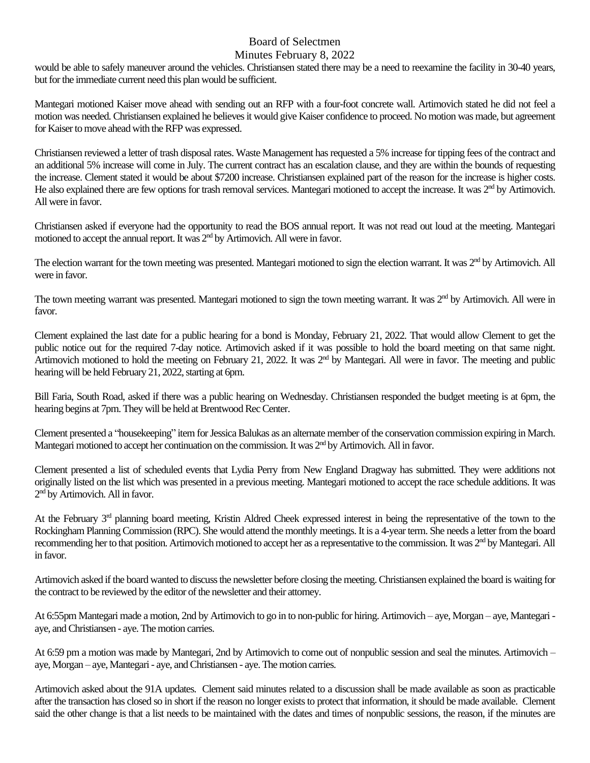# Board of Selectmen

### Minutes February 8, 2022

would be able to safely maneuver around the vehicles. Christiansen stated there may be a need to reexamine the facility in 30-40 years, but for the immediate current need this plan would be sufficient.

Mantegari motioned Kaiser move ahead with sending out an RFP with a four-foot concrete wall. Artimovich stated he did not feel a motion was needed. Christiansen explained he believes it would give Kaiser confidence to proceed. No motion was made, but agreement for Kaiser to move ahead with the RFP was expressed.

Christiansen reviewed a letter of trash disposal rates. Waste Management has requested a 5% increase for tipping fees of the contract and an additional 5% increase will come in July. The current contract has an escalation clause, and they are within the bounds of requesting the increase. Clement stated it would be about \$7200 increase. Christiansen explained part of the reason for the increase is higher costs. He also explained there are few options for trash removal services. Mantegari motioned to accept the increase. It was 2nd by Artimovich. All were in favor.

Christiansen asked if everyone had the opportunity to read the BOS annual report. It was not read out loud at the meeting. Mantegari motioned to accept the annual report. It was 2<sup>nd</sup> by Artimovich. All were in favor.

The election warrant for the town meeting was presented. Mantegari motioned to sign the election warrant. It was  $2<sup>nd</sup>$  by Artimovich. All were in favor.

The town meeting warrant was presented. Mantegari motioned to sign the town meeting warrant. It was 2<sup>nd</sup> by Artimovich. All were in favor.

Clement explained the last date for a public hearing for a bond is Monday, February 21, 2022. That would allow Clement to get the public notice out for the required 7-day notice. Artimovich asked if it was possible to hold the board meeting on that same night. Artimovich motioned to hold the meeting on February 21, 2022. It was 2<sup>nd</sup> by Mantegari. All were in favor. The meeting and public hearing will be held February 21, 2022, starting at 6pm.

Bill Faria, South Road, asked if there was a public hearing on Wednesday. Christiansen responded the budget meeting is at 6pm, the hearing begins at 7pm. They will be held at Brentwood Rec Center.

Clement presented a "housekeeping" item for Jessica Balukas as an alternate member of the conservation commission expiring in March. Mantegari motioned to accept her continuation on the commission. It was  $2<sup>nd</sup>$  by Artimovich. All in favor.

Clement presented a list of scheduled events that Lydia Perry from New England Dragway has submitted. They were additions not originally listed on the list which was presented in a previous meeting. Mantegari motioned to accept the race schedule additions. It was 2<sup>nd</sup> by Artimovich. All in favor.

At the February  $3<sup>rd</sup>$  planning board meeting, Kristin Aldred Cheek expressed interest in being the representative of the town to the Rockingham Planning Commission (RPC). She would attend the monthly meetings. It is a 4-year term. She needs a letter from the board recommending her to that position. Artimovich motioned to accept her as a representative to the commission. It was 2<sup>nd</sup> by Mantegari. All in favor.

Artimovich asked if the board wanted to discuss the newsletter before closing the meeting. Christiansen explained the board is waiting for the contract to be reviewed by the editor of the newsletter and their attorney.

At 6:55pm Mantegari made a motion, 2nd by Artimovich to go in to non-public for hiring. Artimovich – aye, Morgan – aye, Mantegari aye, and Christiansen - aye. The motion carries.

At 6:59 pm a motion was made by Mantegari, 2nd by Artimovich to come out of nonpublic session and seal the minutes. Artimovich – aye, Morgan – aye, Mantegari - aye, and Christiansen - aye. The motion carries.

Artimovich asked about the 91A updates. Clement said minutes related to a discussion shall be made available as soon as practicable after the transaction has closed so in short if the reason no longer exists to protect that information, it should be made available. Clement said the other change is that a list needs to be maintained with the dates and times of nonpublic sessions, the reason, if the minutes are